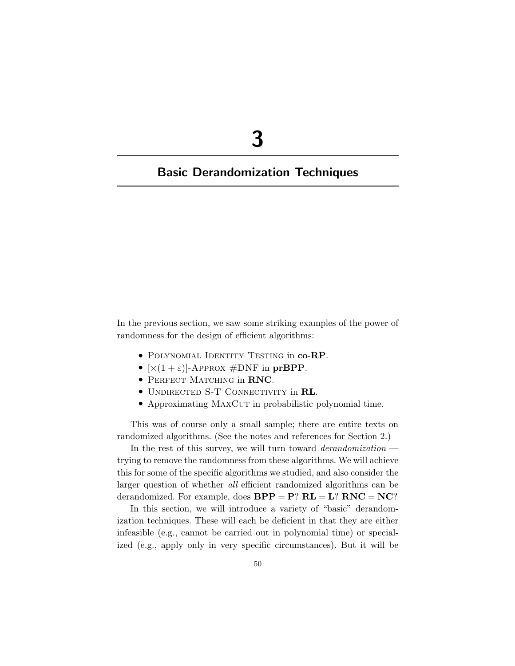# **3**

## **Basic Derandomization Techniques**

In the previous section, we saw some striking examples of the power of randomness for the design of efficient algorithms:

- Polynomial Identity Testing in **co**-**RP**.
- $[x(1+\varepsilon)]$ -Approx  $\#DNF$  in prBPP.
- Perfect Matching in **RNC**.
- Undirected S-T Connectivity in **RL**.
- Approximating MAXCUT in probabilistic polynomial time.

This was of course only a small sample; there are entire texts on randomized algorithms. (See the notes and references for Section 2.)

In the rest of this survey, we will turn toward *derandomization* trying to remove the randomness from these algorithms. We will achieve this for some of the specific algorithms we studied, and also consider the larger question of whether *all* efficient randomized algorithms can be derandomized. For example, does  $BPP = P$ ?  $RL = L$ ?  $RNC = NC$ ?

In this section, we will introduce a variety of "basic" derandomization techniques. These will each be deficient in that they are either infeasible (e.g., cannot be carried out in polynomial time) or specialized (e.g., apply only in very specific circumstances). But it will be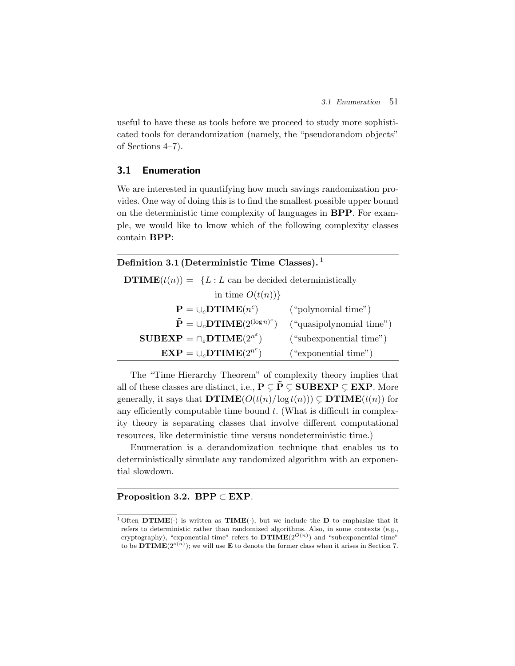useful to have these as tools before we proceed to study more sophisticated tools for derandomization (namely, the "pseudorandom objects" of Sections 4–7).

## **3.1 Enumeration**

We are interested in quantifying how much savings randomization provides. One way of doing this is to find the smallest possible upper bound on the deterministic time complexity of languages in **BPP**. For example, we would like to know which of the following complexity classes contain **BPP**:

| Definition 3.1 (Deterministic Time Classes). <sup>1</sup> |
|-----------------------------------------------------------|
|-----------------------------------------------------------|

**DTIME** $(t(n)) = \{L : L \text{ can be decided deterministically}\}$ 

| in time $O(t(n))$ }                                                           |                          |
|-------------------------------------------------------------------------------|--------------------------|
| ${\bf P} = \cup_c {\bf DTIME}(n^c)$                                           | ("polynomial time")      |
| $\tilde{\mathbf{P}} = \cup_{c} \mathbf{DTIME}(2^{(\log n)^c})$                | ("quasipolynomial time") |
| $\textbf{SUBEXP} = \bigcap_{\varepsilon} \textbf{DTIME}(2^{n^{\varepsilon}})$ | ("subexponential time")  |
| $\textbf{EXP} = \cup_c \textbf{DTIME}(2^{n^c})$                               | ("exponential time")     |

The "Time Hierarchy Theorem" of complexity theory implies that all of these classes are distinct, i.e.,  $P \subseteq \tilde{P} \subseteq \textbf{SUBEXP} \subseteq \textbf{EXP}$ . More generally, it says that  $DTIME(O(t(n)/log t(n))) \subseteq DTIME(t(n))$  for any efficiently computable time bound  $t$ . (What is difficult in complexity theory is separating classes that involve different computational resources, like deterministic time versus nondeterministic time.)

Enumeration is a derandomization technique that enables us to deterministically simulate any randomized algorithm with an exponential slowdown.

#### **Proposition 3.2. BPP** ⊂ **EXP**.

<sup>&</sup>lt;sup>1</sup> Often **DTIME**( $\cdot$ ) is written as **TIME**( $\cdot$ ), but we include the **D** to emphasize that it refers to deterministic rather than randomized algorithms. Also, in some contexts (e.g., cryptography), "exponential time" refers to  $DTIME(2^{O(n)})$  and "subexponential time" to be **DTIME** $(2^{o(n)})$ ; we will use **E** to denote the former class when it arises in Section 7.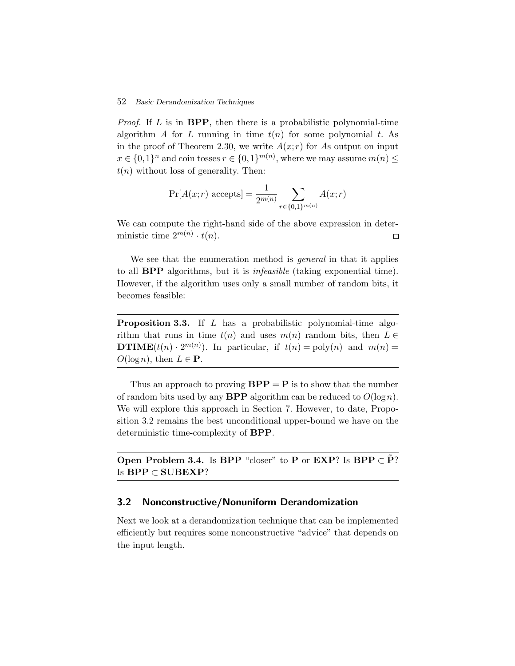*Proof.* If L is in **BPP**, then there is a probabilistic polynomial-time algorithm A for L running in time  $t(n)$  for some polynomial t. As in the proof of Theorem 2.30, we write  $A(x; r)$  for As output on input  $x \in \{0,1\}^n$  and coin tosses  $r \in \{0,1\}^{m(n)}$ , where we may assume  $m(n) \leq$  $t(n)$  without loss of generality. Then:

$$
\Pr[A(x; r) \text{ accepts}] = \frac{1}{2^{m(n)}} \sum_{r \in \{0, 1\}^{m(n)}} A(x; r)
$$

We can compute the right-hand side of the above expression in deterministic time  $2^{m(n)} \cdot t(n)$ .  $\Box$ 

We see that the enumeration method is *general* in that it applies to all **BPP** algorithms, but it is *infeasible* (taking exponential time). However, if the algorithm uses only a small number of random bits, it becomes feasible:

**Proposition 3.3.** If L has a probabilistic polynomial-time algorithm that runs in time  $t(n)$  and uses  $m(n)$  random bits, then  $L \in$ **DTIME** $(t(n) \cdot 2^{m(n)})$ . In particular, if  $t(n) = \text{poly}(n)$  and  $m(n) =$  $O(\log n)$ , then  $L \in \mathbf{P}$ .

Thus an approach to proving  $BPP = P$  is to show that the number of random bits used by any **BPP** algorithm can be reduced to  $O(\log n)$ . We will explore this approach in Section 7. However, to date, Proposition 3.2 remains the best unconditional upper-bound we have on the deterministic time-complexity of **BPP**.

**Open Problem 3.4.** Is **BPP** "closer" to **P** or **EXP**? Is **BPP**  $\subset \tilde{P}$ ? Is **BPP** ⊂ **SUBEXP**?

#### **3.2 Nonconstructive/Nonuniform Derandomization**

Next we look at a derandomization technique that can be implemented efficiently but requires some nonconstructive "advice" that depends on the input length.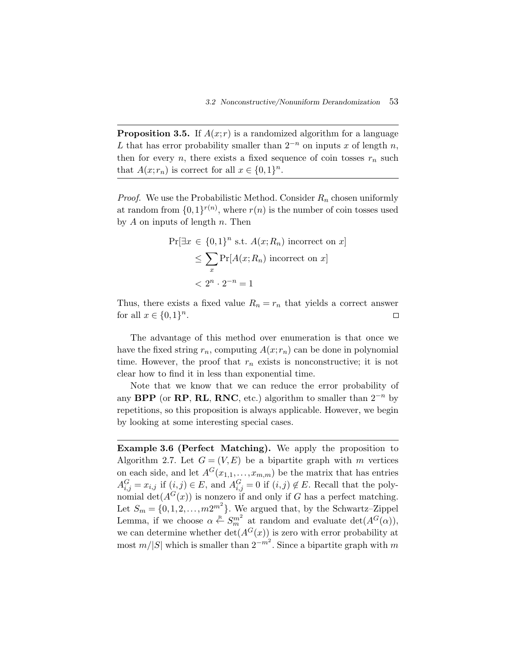**Proposition 3.5.** If  $A(x; r)$  is a randomized algorithm for a language L that has error probability smaller than  $2^{-n}$  on inputs x of length n, then for every n, there exists a fixed sequence of coin tosses  $r_n$  such that  $A(x; r_n)$  is correct for all  $x \in \{0,1\}^n$ .

*Proof.* We use the Probabilistic Method. Consider  $R_n$  chosen uniformly at random from  $\{0,1\}^{r(n)}$ , where  $r(n)$  is the number of coin tosses used by  $A$  on inputs of length  $n$ . Then  $(1)^{r(n)}$ <br>ength<br> $\in \{0,$ <br> $\leq \sum$ 

$$
\Pr[\exists x \in \{0,1\}^n \text{ s.t. } A(x; R_n) \text{ incorrect on } x]
$$
  
\$\leq \sum\_x \Pr[A(x; R\_n) \text{ incorrect on } x]\$  
\$< 2^n \cdot 2^{-n} = 1\$

Thus, there exists a fixed value  $R_n = r_n$  that yields a correct answer for all  $x \in \{0,1\}^n$ .  $\Box$ 

The advantage of this method over enumeration is that once we have the fixed string  $r_n$ , computing  $A(x; r_n)$  can be done in polynomial time. However, the proof that  $r_n$  exists is nonconstructive; it is not clear how to find it in less than exponential time.

Note that we know that we can reduce the error probability of any **BPP** (or **RP**, **RL**, **RNC**, etc.) algorithm to smaller than  $2^{-n}$  by repetitions, so this proposition is always applicable. However, we begin by looking at some interesting special cases.

**Example 3.6 (Perfect Matching).** We apply the proposition to Algorithm 2.7. Let  $G = (V, E)$  be a bipartite graph with m vertices on each side, and let  $A^{G}(x_{1,1},...,x_{m,m})$  be the matrix that has entries  $A_{i,j}^G = x_{i,j}$  if  $(i,j) \in E$ , and  $A_{i,j}^G = 0$  if  $(i,j) \notin E$ . Recall that the polynomial det( $A^{G}(x)$ ) is nonzero if and only if G has a perfect matching. Let  $S_m = \{0, 1, 2, \ldots, m2^{m^2}\}\.$  We argued that, by the Schwartz-Zippel Lemma, if we choose  $\alpha \stackrel{R}{\leftarrow} S_m^{m^2}$  at random and evaluate  $\det(A^G(\alpha))$ , we can determine whether  $\det(A^G(x))$  is zero with error probability at most  $m/|S|$  which is smaller than  $2^{-m^2}$ . Since a bipartite graph with m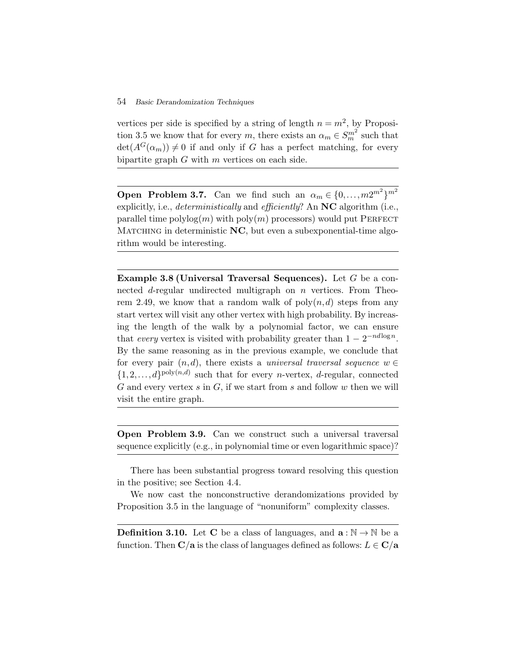vertices per side is specified by a string of length  $n = m^2$ , by Proposition 3.5 we know that for every m, there exists an  $\alpha_m \in S_m^{m^2}$  such that  $\det(A^G(\alpha_m)) \neq 0$  if and only if G has a perfect matching, for every bipartite graph  $G$  with  $m$  vertices on each side.

**Open Problem 3.7.** Can we find such an  $\alpha_m \in \{0, \ldots, m2^{m^2}\}^{m^2}$ explicitly, i.e., *deterministically* and *efficiently*? An **NC** algorithm (i.e., parallel time polylog $(m)$  with poly $(m)$  processors) would put PERFECT MATCHING in deterministic NC, but even a subexponential-time algorithm would be interesting.

**Example 3.8 (Universal Traversal Sequences).** Let G be a connected d-regular undirected multigraph on n vertices. From Theorem 2.49, we know that a random walk of  $\text{poly}(n, d)$  steps from any start vertex will visit any other vertex with high probability. By increasing the length of the walk by a polynomial factor, we can ensure that *every* vertex is visited with probability greater than  $1 - 2^{-nd \log n}$ . By the same reasoning as in the previous example, we conclude that for every pair  $(n, d)$ , there exists a *universal traversal sequence*  $w \in$  $\{1,2,\ldots,d\}^{\text{poly}(n,d)}$  such that for every *n*-vertex, *d*-regular, connected G and every vertex  $s$  in  $G$ , if we start from  $s$  and follow  $w$  then we will visit the entire graph.

**Open Problem 3.9.** Can we construct such a universal traversal sequence explicitly (e.g., in polynomial time or even logarithmic space)?

There has been substantial progress toward resolving this question in the positive; see Section 4.4.

We now cast the nonconstructive derandomizations provided by Proposition 3.5 in the language of "nonuniform" complexity classes.

**Definition 3.10.** Let **C** be a class of languages, and  $\mathbf{a} : \mathbb{N} \to \mathbb{N}$  be a function. Then  $\mathbf{C}/\mathbf{a}$  is the class of languages defined as follows:  $L \in \mathbf{C}/\mathbf{a}$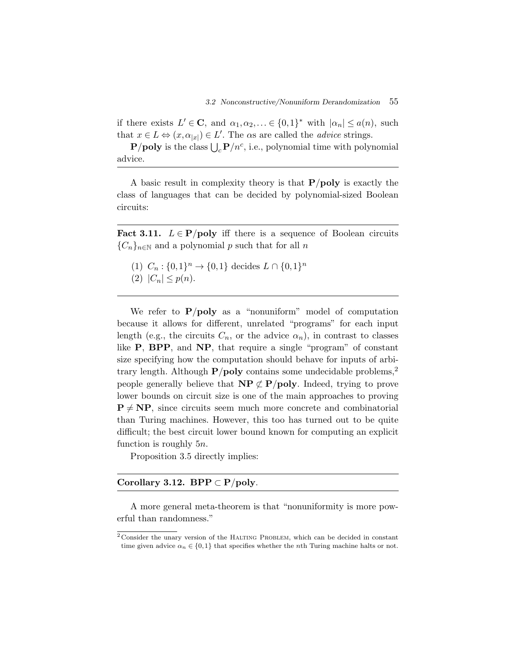if there exists  $L' \in \mathbb{C}$ , and  $\alpha_1, \alpha_2, \ldots \in \{0,1\}^*$  with  $|\alpha_n| \leq a(n)$ , such that  $x \in L \Leftrightarrow (x, \alpha_{|x|}) \in L'$ . The  $\alpha$ s are called the *advice* strings. 3.2<br>
here exists  $L' \in \mathbf{C}$ , are<br>  $\mathbf{r} \in L \Leftrightarrow (x, \alpha_{|x|}) \in L$ <br> **P**/**poly** is the class  $\bigcup$ 

 $P/poly$  is the class  $\bigcup_{c} P/n^{c}$ , i.e., polynomial time with polynomial advice.

A basic result in complexity theory is that **P**/**poly** is exactly the class of languages that can be decided by polynomial-sized Boolean circuits:

**Fact 3.11.**  $L \in \mathbf{P}$ /**poly** iff there is a sequence of Boolean circuits  ${C_n}_{n\in\mathbb{N}}$  and a polynomial p such that for all n

- (1)  $C_n : \{0,1\}^n \to \{0,1\}$  decides  $L \cap \{0,1\}^n$
- (2)  $|C_n| \leq p(n)$ .

We refer to **P**/**poly** as a "nonuniform" model of computation because it allows for different, unrelated "programs" for each input length (e.g., the circuits  $C_n$ , or the advice  $\alpha_n$ ), in contrast to classes like **P**, **BPP**, and **NP**, that require a single "program" of constant size specifying how the computation should behave for inputs of arbitrary length. Although  $P/poly$  contains some undecidable problems,<sup>2</sup> people generally believe that  $\mathbf{NP} \not\subset \mathbf{P}/\mathbf{poly}$ . Indeed, trying to prove lower bounds on circuit size is one of the main approaches to proving  $P \neq NP$ , since circuits seem much more concrete and combinatorial than Turing machines. However, this too has turned out to be quite difficult; the best circuit lower bound known for computing an explicit function is roughly 5n.

Proposition 3.5 directly implies:

## **Corollary 3.12.** BPP  $\subset$  **P**/**poly**.

A more general meta-theorem is that "nonuniformity is more powerful than randomness."

 $2$ Consider the unary version of the HALTING PROBLEM, which can be decided in constant time given advice  $\alpha_n \in \{0,1\}$  that specifies whether the nth Turing machine halts or not.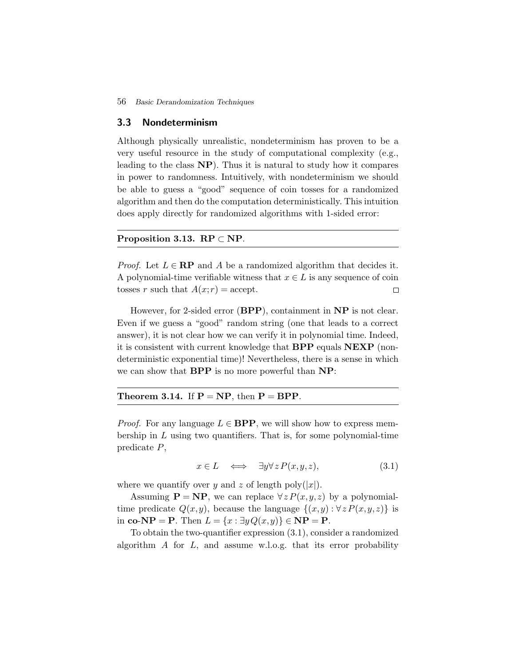#### **3.3 Nondeterminism**

Although physically unrealistic, nondeterminism has proven to be a very useful resource in the study of computational complexity (e.g., leading to the class **NP**). Thus it is natural to study how it compares in power to randomness. Intuitively, with nondeterminism we should be able to guess a "good" sequence of coin tosses for a randomized algorithm and then do the computation deterministically. This intuition does apply directly for randomized algorithms with 1-sided error:

#### **Proposition 3.13.**  $RP \subset NP$ .

*Proof.* Let  $L \in \mathbf{RP}$  and A be a randomized algorithm that decides it. A polynomial-time verifiable witness that  $x \in L$  is any sequence of coin tosses r such that  $A(x; r) = \text{accept.}$  $\Box$ 

However, for 2-sided error (**BPP**), containment in **NP** is not clear. Even if we guess a "good" random string (one that leads to a correct answer), it is not clear how we can verify it in polynomial time. Indeed, it is consistent with current knowledge that **BPP** equals **NEXP** (nondeterministic exponential time)! Nevertheless, there is a sense in which we can show that **BPP** is no more powerful than **NP**:

#### **Theorem 3.14.** If  $P = NP$ , then  $P = BPP$ .

*Proof.* For any language  $L \in \text{BPP}$ , we will show how to express membership in  $L$  using two quantifiers. That is, for some polynomial-time predicate P,

$$
x \in L \quad \Longleftrightarrow \quad \exists y \forall z P(x, y, z), \tag{3.1}
$$

where we quantify over y and z of length poly $(|x|)$ .

Assuming  $P = NP$ , we can replace  $\forall z P(x, y, z)$  by a polynomialtime predicate  $Q(x,y)$ , because the language  $\{(x,y): \forall z P(x,y,z)\}\$ is in **co**- $\mathbf{NP} = \mathbf{P}$ . Then  $L = \{x : \exists y Q(x, y)\} \in \mathbf{NP} = \mathbf{P}$ .

To obtain the two-quantifier expression (3.1), consider a randomized algorithm  $A$  for  $L$ , and assume w.l.o.g. that its error probability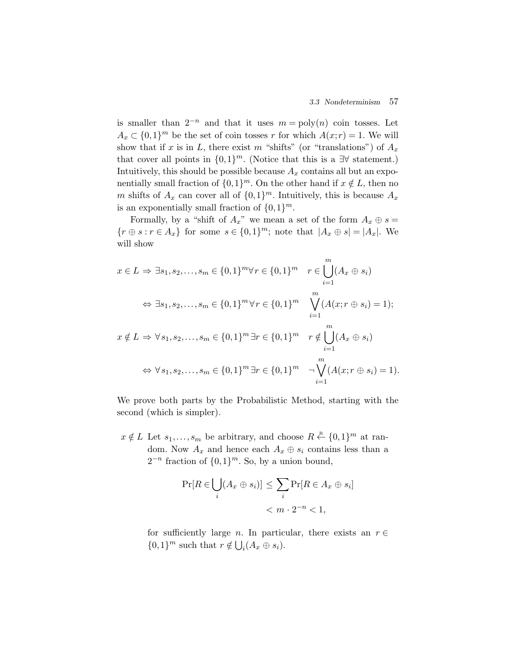is smaller than  $2^{-n}$  and that it uses  $m = \text{poly}(n)$  coin tosses. Let  $A_x \subset \{0,1\}^m$  be the set of coin tosses r for which  $A(x; r) = 1$ . We will show that if x is in L, there exist m "shifts" (or "translations") of  $A_x$ that cover all points in  $\{0,1\}^m$ . (Notice that this is a  $\exists\forall$  statement.) Intuitively, this should be possible because  $A_x$  contains all but an exponentially small fraction of  $\{0,1\}^m$ . On the other hand if  $x \notin L$ , then no m shifts of  $A_x$  can cover all of  $\{0,1\}^m$ . Intuitively, this is because  $A_x$ is an exponentially small fraction of  $\{0,1\}^m$ .

Formally, by a "shift of  $A_x$ " we mean a set of the form  $A_x \oplus s =$  $\{r \oplus s : r \in A_x\}$  for some  $s \in \{0,1\}^m$ ; note that  $|A_x \oplus s| = |A_x|$ . We will show Formally, by a "shift of  $A_x$ " we mean a set of the<br>
{ $r \oplus s : r \in A_x$ } for some  $s \in \{0,1\}^m$ ; note that  $|A_x$ <br>
will show<br>  $x \in L \Rightarrow \exists s_1, s_2, \ldots, s_m \in \{0,1\}^m \forall r \in \{0,1\}^m$   $r \in \binom{m}{k}$ 

w in show  
\n
$$
x \in L \Rightarrow \exists s_1, s_2, ..., s_m \in \{0, 1\}^m \forall r \in \{0, 1\}^m \quad r \in \bigcup_{i=1}^m (A_x \oplus s_i)
$$
  
\n $\Leftrightarrow \exists s_1, s_2, ..., s_m \in \{0, 1\}^m \forall r \in \{0, 1\}^m \quad \bigvee_{i=1}^m (A(x; r \oplus s_i) = 1);$   
\n $x \notin L \Rightarrow \forall s_1, s_2, ..., s_m \in \{0, 1\}^m \exists r \in \{0, 1\}^m \quad r \notin \bigcup_{i=1}^m (A_x \oplus s_i)$   
\n $\Leftrightarrow \forall s_1, s_2, ..., s_m \in \{0, 1\}^m \exists r \in \{0, 1\}^m \quad \neg \bigvee_{i=1}^m (A(x; r \oplus s_i) = 1).$ 

We prove both parts by the Probabilistic Method, starting with the second (which is simpler).

 $x \notin L$  Let  $s_1, \ldots, s_m$  be arbitrary, and choose  $R \stackrel{\text{R}}{\leftarrow} \{0,1\}^m$  at random. Now  $A_x$  and hence each  $A_x \oplus s_i$  contains less than a  $2^{-n}$  fraction of  $\{0,1\}^m$ . So, by a union bound, Exercise and change and hence each  $A_x \in (0,1)^m$ . So, by a unit  $\bigcup (A_x \oplus s_i) \big] \leq \sum$ 

$$
\Pr[R \in \bigcup_i (A_x \oplus s_i)] \le \sum_i \Pr[R \in A_x \oplus s_i]
$$
  
< 
$$
< m \cdot 2^{-n} < 1,
$$

for sufficiently large *n*. In particular, there exists an  $r \in$ for sufficiently large *n*. In partic  $\{0,1\}^m$  such that  $r \notin \bigcup_i (A_x \oplus s_i)$ .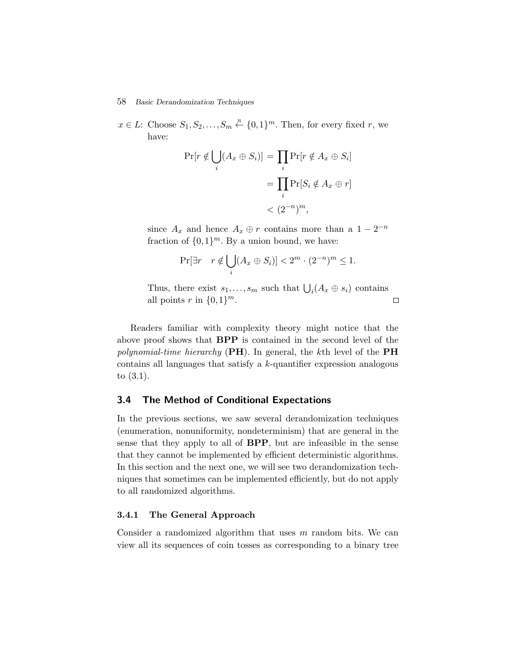$x \in L$ : Choose  $S_1, S_2, \ldots, S_m \stackrel{\text{R}}{\leftarrow} \{0,1\}^m$ . Then, for every fixed r, we have: echniques<br>  $S_m \stackrel{\text{R}}{\leftarrow} \{0,1\}^m$ . Tl<br>  $(A_x \oplus S_i)$ ] =  $\prod$ 

$$
Pr[r \notin \bigcup_i (A_x \oplus S_i)] = \prod_i Pr[r \notin A_x \oplus S_i]
$$

$$
= \prod_i Pr[S_i \notin A_x \oplus r]
$$

$$
= \prod_i Pr[S_i \notin A_x \oplus r]
$$

$$
< (2^{-n})^m,
$$

since  $A_x$  and hence  $A_x \oplus r$  contains more than a  $1 - 2^{-n}$ fraction of  $\{0,1\}^m$ . By a union bound, we have: since  $A_x$  and hence  $A_x \oplus t$  contains more than a  $1 - 2$ <br>fraction of  $\{0,1\}^m$ . By a union bound, we have:<br> $\Pr[\exists r \quad r \notin \bigcup_i (A_x \oplus S_i)] < 2^m \cdot (2^{-n})^m \le 1$ .<br>Thus, there exist  $s_1, \ldots, s_m$  such that  $\bigcup_i (A_x \oplus s_i)$  contains

$$
\Pr[\exists r \quad r \notin \bigcup_i (A_x \oplus S_i)] < 2^m \cdot (2^{-n})^m \le 1.
$$

all points r in  $\{0,1\}^m$ .  $\Box$ 

Readers familiar with complexity theory might notice that the above proof shows that **BPP** is contained in the second level of the *polynomial-time hierarchy* (**PH**). In general, the kth level of the **PH** contains all languages that satisfy a k-quantifier expression analogous to (3.1).

## **3.4 The Method of Conditional Expectations**

In the previous sections, we saw several derandomization techniques (enumeration, nonuniformity, nondeterminism) that are general in the sense that they apply to all of **BPP**, but are infeasible in the sense that they cannot be implemented by efficient deterministic algorithms. In this section and the next one, we will see two derandomization techniques that sometimes can be implemented efficiently, but do not apply to all randomized algorithms.

#### **3.4.1 The General Approach**

Consider a randomized algorithm that uses  $m$  random bits. We can view all its sequences of coin tosses as corresponding to a binary tree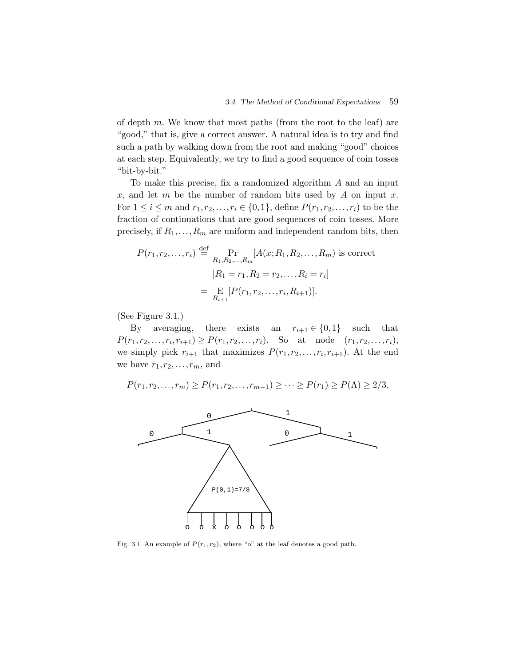of depth  $m$ . We know that most paths (from the root to the leaf) are "good," that is, give a correct answer. A natural idea is to try and find such a path by walking down from the root and making "good" choices at each step. Equivalently, we try to find a good sequence of coin tosses "bit-by-bit."

To make this precise, fix a randomized algorithm A and an input x, and let m be the number of random bits used by  $A$  on input x. For  $1 \le i \le m$  and  $r_1, r_2, ..., r_i \in \{0,1\}$ , define  $P(r_1, r_2, ..., r_i)$  to be the fraction of continuations that are good sequences of coin tosses. More precisely, if  $R_1, \ldots, R_m$  are uniform and independent random bits, then

$$
P(r_1, r_2, \dots, r_i) \stackrel{\text{def}}{=} \Pr_{R_1, R_2, \dots, R_m} [A(x; R_1, R_2, \dots, R_m) \text{ is correct}
$$

$$
|R_1 = r_1, R_2 = r_2, \dots, R_i = r_i]
$$

$$
= \Pr_{R_{i+1}} [P(r_1, r_2, \dots, r_i, R_{i+1})].
$$

(See Figure 3.1.)

By averaging, there exists an  $r_{i+1} \in \{0,1\}$  such that  $P(r_1, r_2,...,r_i,r_{i+1}) \geq P(r_1, r_2,...,r_i)$ . So at node  $(r_1, r_2,...,r_i)$ , we simply pick  $r_{i+1}$  that maximizes  $P(r_1, r_2, \ldots, r_i, r_{i+1})$ . At the end we have  $r_1,r_2,\ldots,r_m$ , and

$$
P(r_1, r_2, \dots, r_m) \ge P(r_1, r_2, \dots, r_{m-1}) \ge \dots \ge P(r_1) \ge P(\Lambda) \ge 2/3,
$$



Fig. 3.1 An example of  $P(r_1, r_2)$ , where "o" at the leaf denotes a good path.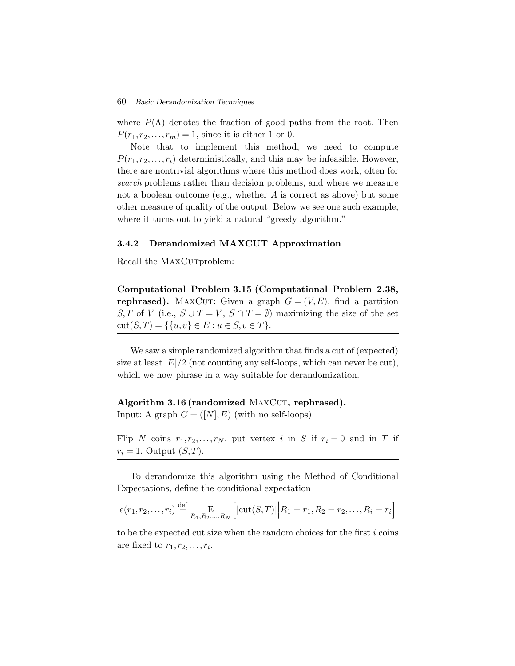where  $P(\Lambda)$  denotes the fraction of good paths from the root. Then  $P(r_1,r_2,\ldots,r_m)=1$ , since it is either 1 or 0.

Note that to implement this method, we need to compute  $P(r_1,r_2,\ldots,r_i)$  deterministically, and this may be infeasible. However, there are nontrivial algorithms where this method does work, often for *search* problems rather than decision problems, and where we measure not a boolean outcome (e.g., whether  $A$  is correct as above) but some other measure of quality of the output. Below we see one such example, where it turns out to yield a natural "greedy algorithm."

#### **3.4.2 Derandomized MAXCUT Approximation**

Recall the MAXCurproblem:

**Computational Problem 3.15 (Computational Problem 2.38, rephrased).** MAXCUT: Given a graph  $G = (V, E)$ , find a partition S, T of V (i.e.,  $S \cup T = V$ ,  $S \cap T = \emptyset$ ) maximizing the size of the set cut $(S,T) = \{ \{u,v\} \in E : u \in S, v \in T \}.$ 

We saw a simple randomized algorithm that finds a cut of (expected) size at least  $|E|/2$  (not counting any self-loops, which can never be cut), which we now phrase in a way suitable for derandomization.

Algorithm 3.16 (randomized MAXCUT, rephrased). Input: A graph  $G = ([N], E)$  (with no self-loops)

Flip N coins  $r_1, r_2, \ldots, r_N$ , put vertex i in S if  $r_i = 0$  and in T if  $r_i = 1$ . Output  $(S, T)$ .  $\overline{a}$ 

Ī

To derandomize this algorithm using the Method of Conditional Expectations, define the conditional expectation

$$
e(r_1, r_2,..., r_i) \stackrel{\text{def}}{=} \underset{R_1, R_2,..., R_N}{\to} \left[ |\text{cut}(S, T)| \middle| R_1 = r_1, R_2 = r_2,..., R_i = r_i \right]
$$

to be the expected cut size when the random choices for the first  $i$  coins are fixed to  $r_1, r_2, \ldots, r_i$ .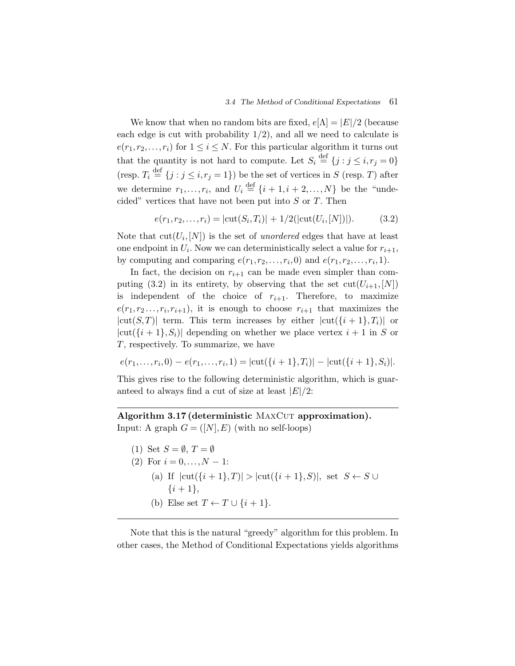We know that when no random bits are fixed,  $e[\Lambda] = |E|/2$  (because each edge is cut with probability  $1/2$ , and all we need to calculate is  $e(r_1,r_2,\ldots,r_i)$  for  $1 \leq i \leq N$ . For this particular algorithm it turns out that the quantity is not hard to compute. Let  $S_i \stackrel{\text{def}}{=} \{j : j \leq i, r_j = 0\}$ (resp.  $T_i \stackrel{\text{def}}{=} \{j : j \leq i, r_j = 1\}$ ) be the set of vertices in S (resp. T) after we determine  $r_1, \ldots, r_i$ , and  $U_i \stackrel{\text{def}}{=} \{i+1, i+2, \ldots, N\}$  be the "undecided" vertices that have not been put into  $S$  or  $T$ . Then

$$
e(r_1, r_2, \dots, r_i) = |\text{cut}(S_i, T_i)| + 1/2(|\text{cut}(U_i, [N])|). \tag{3.2}
$$

Note that  $\text{cut}(U_i,[N])$  is the set of *unordered* edges that have at least one endpoint in  $U_i$ . Now we can deterministically select a value for  $r_{i+1}$ , by computing and comparing  $e(r_1,r_2,\ldots,r_i,0)$  and  $e(r_1,r_2,\ldots,r_i,1)$ .

In fact, the decision on  $r_{i+1}$  can be made even simpler than computing (3.2) in its entirety, by observing that the set  $\text{cut}(U_{i+1},[N])$ is independent of the choice of  $r_{i+1}$ . Therefore, to maximize  $e(r_1,r_2\ldots,r_i,r_{i+1}),$  it is enough to choose  $r_{i+1}$  that maximizes the  $|cut(S,T)|$  term. This term increases by either  $|cut({i+1},T_i)|$  or  $|cut({i+1},S_i)|$  depending on whether we place vertex  $i+1$  in S or T, respectively. To summarize, we have

$$
e(r_1,\ldots,r_i,0) - e(r_1,\ldots,r_i,1) = |\text{cut}(\{i+1\},T_i)| - |\text{cut}(\{i+1\},S_i)|.
$$

This gives rise to the following deterministic algorithm, which is guaranteed to always find a cut of size at least  $|E|/2$ :

## Algorithm 3.17 (deterministic MAXCUT approximation). Input: A graph  $G = ([N], E)$  (with no self-loops)

- (1) Set  $S = \emptyset$ ,  $T = \emptyset$
- (2) For  $i = 0, ..., N 1$ :
	- (a) If  $|cut({i+1},T)| > |cut({i+1},S)|$ , set  $S \leftarrow S \cup$  $\{i+1\},\$
	- (b) Else set  $T \leftarrow T \cup \{i+1\}.$

Note that this is the natural "greedy" algorithm for this problem. In other cases, the Method of Conditional Expectations yields algorithms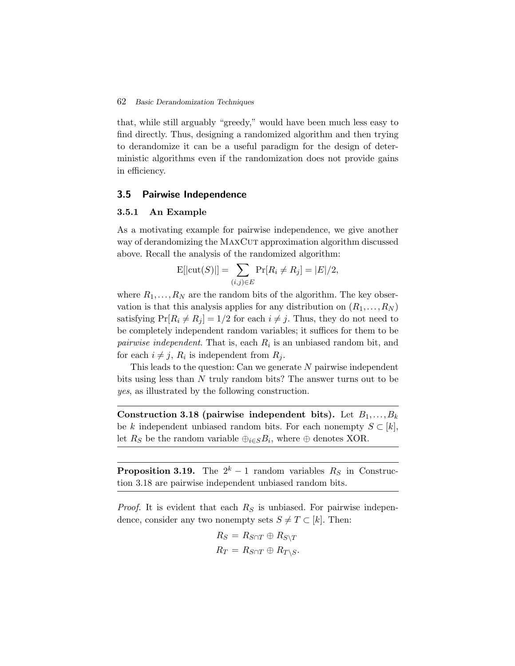that, while still arguably "greedy," would have been much less easy to find directly. Thus, designing a randomized algorithm and then trying to derandomize it can be a useful paradigm for the design of deterministic algorithms even if the randomization does not provide gains in efficiency.

#### **3.5 Pairwise Independence**

#### **3.5.1 An Example**

As a motivating example for pairwise independence, we give another way of derandomizing the MAXCUT approximation algorithm discussed above. Recall the analysis of the randomized algorithm:  $\begin{aligned} \text{Example} \quad & \text{arg example for pair} \quad \text{matrix the } \text{MAXC1} \quad \text{the analysis of the} \quad \text{E}[\vert \text{cut}(S) \vert] = \sum_{i=1}^{n} \mathbb{E}[\vert \text{cut}(S) \vert] = \sum_{i=1}^{n} \mathbb{E}[\vert \text{cut}(S) \vert] = \sum_{i=1}^{n} \mathbb{E}[\vert \text{cut}(S) \vert] = \sum_{i=1}^{n} \mathbb{E}[\vert \text{cut}(S) \vert] = \sum_{i=1}^{n} \mathbb{E}[\vert \text{cut}(S) \vert] = \sum_{i=1}^{n$ 

$$
E[|cut(S)|] = \sum_{(i,j)\in E} Pr[R_i \neq R_j] = |E|/2,
$$

where  $R_1, \ldots, R_N$  are the random bits of the algorithm. The key observation is that this analysis applies for any distribution on  $(R_1, \ldots, R_N)$ satisfying  $Pr[R_i \neq R_j] = 1/2$  for each  $i \neq j$ . Thus, they do not need to be completely independent random variables; it suffices for them to be *pairwise independent*. That is, each  $R_i$  is an unbiased random bit, and for each  $i \neq j$ ,  $R_i$  is independent from  $R_j$ .

This leads to the question: Can we generate N pairwise independent bits using less than N truly random bits? The answer turns out to be *yes*, as illustrated by the following construction.

**Construction 3.18 (pairwise independent bits).** Let  $B_1, \ldots, B_k$ be k independent unbiased random bits. For each nonempty  $S \subset [k]$ , let  $R_S$  be the random variable  $\bigoplus_{i\in S}B_i$ , where  $\oplus$  denotes XOR.

**Proposition 3.19.** The  $2^k - 1$  random variables  $R_S$  in Construction 3.18 are pairwise independent unbiased random bits.

*Proof.* It is evident that each  $R<sub>S</sub>$  is unbiased. For pairwise independence, consider any two nonempty sets  $S \neq T \subset [k]$ . Then:

$$
R_S = R_{S \cap T} \oplus R_{S \setminus T}
$$
  

$$
R_T = R_{S \cap T} \oplus R_{T \setminus S}.
$$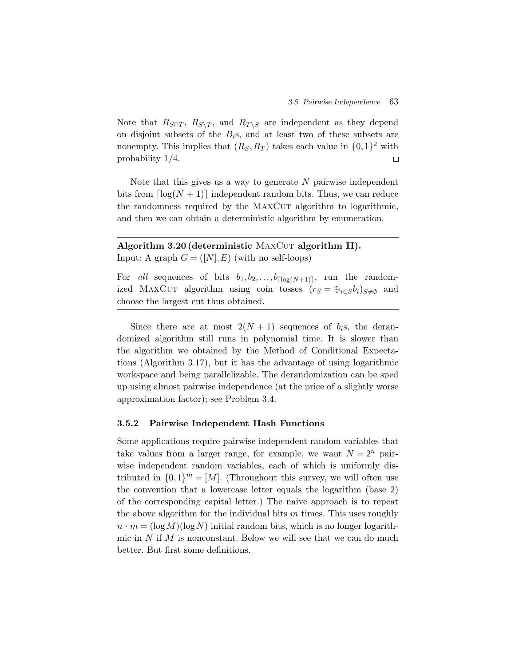Note that  $R_{S\cap T}$ ,  $R_{S\setminus T}$ , and  $R_{T\setminus S}$  are independent as they depend on disjoint subsets of the  $B_i$ s, and at least two of these subsets are nonempty. This implies that  $(R_S, R_T)$  takes each value in  $\{0,1\}^2$  with probability 1/4.  $\Box$ 

Note that this gives us a way to generate  $N$  pairwise independent bits from  $\lceil \log(N + 1) \rceil$  independent random bits. Thus, we can reduce the randomness required by the MAXCUT algorithm to logarithmic, and then we can obtain a deterministic algorithm by enumeration.

## **Algorithm 3.20 (deterministic MAXCUT algorithm II).** Input: A graph  $G = ([N], E)$  (with no self-loops)

For *all* sequences of bits  $b_1, b_2, \ldots, b_{\lceil \log(N+1) \rceil}$ , run the randomized MAXCUT algorithm using coin tosses  $(r_S = \bigoplus_{i \in S} b_i)_{S \neq \emptyset}$  and choose the largest cut thus obtained.

Since there are at most  $2(N + 1)$  sequences of  $b_i$ s, the derandomized algorithm still runs in polynomial time. It is slower than the algorithm we obtained by the Method of Conditional Expectations (Algorithm 3.17), but it has the advantage of using logarithmic workspace and being parallelizable. The derandomization can be sped up using almost pairwise independence (at the price of a slightly worse approximation factor); see Problem 3.4.

#### **3.5.2 Pairwise Independent Hash Functions**

Some applications require pairwise independent random variables that take values from a larger range, for example, we want  $N = 2^n$  pairwise independent random variables, each of which is uniformly distributed in  $\{0,1\}^m = [M]$ . (Throughout this survey, we will often use the convention that a lowercase letter equals the logarithm (base 2) of the corresponding capital letter.) The naive approach is to repeat the above algorithm for the individual bits  $m$  times. This uses roughly  $n \cdot m = (\log M)(\log N)$  initial random bits, which is no longer logarithmic in  $N$  if  $M$  is nonconstant. Below we will see that we can do much better. But first some definitions.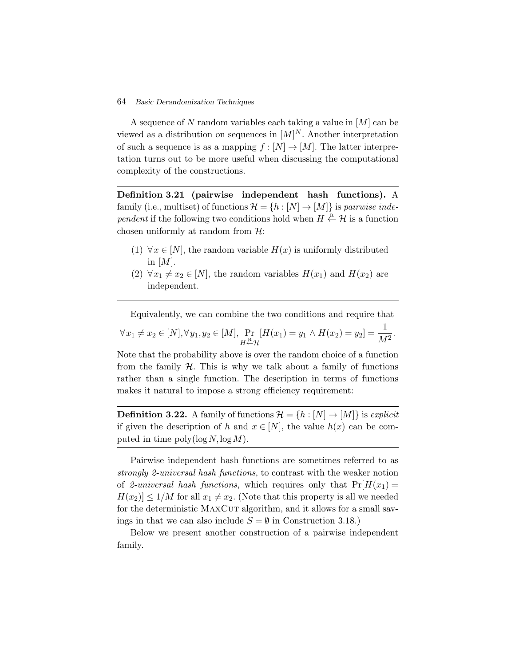A sequence of N random variables each taking a value in  $[M]$  can be viewed as a distribution on sequences in  $[M]^N$ . Another interpretation of such a sequence is as a mapping  $f : [N] \to [M]$ . The latter interpretation turns out to be more useful when discussing the computational complexity of the constructions.

**Definition 3.21 (pairwise independent hash functions).** A family (i.e., multiset) of functions  $\mathcal{H} = \{h : [N] \to [M]\}$  is *pairwise independent* if the following two conditions hold when  $H \overset{\text{R}}{\leftarrow} \mathcal{H}$  is a function chosen uniformly at random from  $H$ :

- (1)  $\forall x \in [N]$ , the random variable  $H(x)$  is uniformly distributed in  $[M]$ .
- (2)  $\forall x_1 \neq x_2 \in [N]$ , the random variables  $H(x_1)$  and  $H(x_2)$  are independent.

Equivalently, we can combine the two conditions and require that

$$
\forall x_1 \neq x_2 \in [N], \forall y_1, y_2 \in [M], \Pr_{H \leftarrow H} [H(x_1) = y_1 \land H(x_2) = y_2] = \frac{1}{M^2}.
$$

Note that the probability above is over the random choice of a function from the family  $H$ . This is why we talk about a family of functions rather than a single function. The description in terms of functions makes it natural to impose a strong efficiency requirement:

**Definition 3.22.** A family of functions  $\mathcal{H} = \{h : [N] \to [M]\}$  is *explicit* if given the description of h and  $x \in [N]$ , the value  $h(x)$  can be computed in time  $\text{poly}(\log N, \log M)$ .

Pairwise independent hash functions are sometimes referred to as *strongly 2-universal hash functions*, to contrast with the weaker notion of 2-universal hash functions, which requires only that  $Pr[H(x_1)]$  $H(x_2) \leq 1/M$  for all  $x_1 \neq x_2$ . (Note that this property is all we needed for the deterministic MAXCUT algorithm, and it allows for a small savings in that we can also include  $S = \emptyset$  in Construction 3.18.)

Below we present another construction of a pairwise independent family.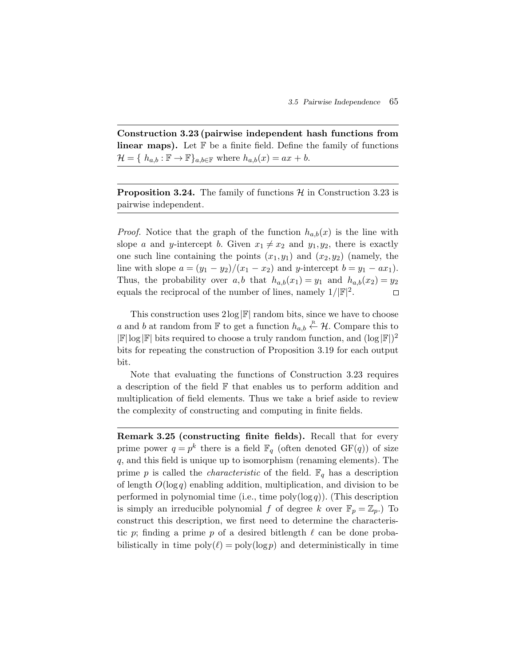**Construction 3.23 (pairwise independent hash functions from linear maps).** Let  $\mathbb{F}$  be a finite field. Define the family of functions  $\mathcal{H} = \{ h_{a,b} : \mathbb{F} \to \mathbb{F} \}_{a,b \in \mathbb{F}}$  where  $h_{a,b}(x) = ax + b$ .

**Proposition 3.24.** The family of functions  $\mathcal{H}$  in Construction 3.23 is pairwise independent.

*Proof.* Notice that the graph of the function  $h_{a,b}(x)$  is the line with slope a and y-intercept b. Given  $x_1 \neq x_2$  and  $y_1, y_2$ , there is exactly one such line containing the points  $(x_1,y_1)$  and  $(x_2,y_2)$  (namely, the line with slope  $a = (y_1 - y_2)/(x_1 - x_2)$  and y-intercept  $b = y_1 - ax_1$ . Thus, the probability over a,b that  $h_{a,b}(x_1) = y_1$  and  $h_{a,b}(x_2) = y_2$ equals the reciprocal of the number of lines, namely  $1/|\mathbb{F}|^2$ .  $\Box$ 

This construction uses  $2\log|\mathbb{F}|$  random bits, since we have to choose a and b at random from  $\mathbb F$  to get a function  $h_{a,b} \overset{\text{R}}{\leftarrow} \mathcal{H}$ . Compare this to  $|\mathbb{F}| \log |\mathbb{F}|$  bits required to choose a truly random function, and  $(\log |\mathbb{F}|)^2$ bits for repeating the construction of Proposition 3.19 for each output bit.

Note that evaluating the functions of Construction 3.23 requires a description of the field F that enables us to perform addition and multiplication of field elements. Thus we take a brief aside to review the complexity of constructing and computing in finite fields.

**Remark 3.25 (constructing finite fields).** Recall that for every prime power  $q = p^k$  there is a field  $\mathbb{F}_q$  (often denoted  $GF(q)$ ) of size q, and this field is unique up to isomorphism (renaming elements). The prime p is called the *characteristic* of the field.  $\mathbb{F}_q$  has a description of length  $O(\log q)$  enabling addition, multiplication, and division to be performed in polynomial time (i.e., time  $\text{poly}(\log q)$ ). (This description is simply an irreducible polynomial f of degree k over  $\mathbb{F}_p = \mathbb{Z}_p$ . To construct this description, we first need to determine the characteristic p; finding a prime p of a desired bitlength  $\ell$  can be done probabilistically in time  $poly(\ell) = poly(\log p)$  and deterministically in time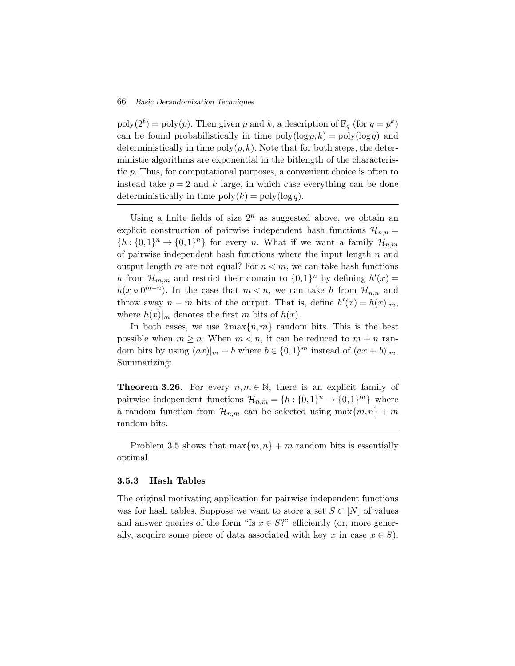$\text{poly}(2^{\ell}) = \text{poly}(p)$ . Then given p and k, a description of  $\mathbb{F}_q$  (for  $q = p^k$ ) can be found probabilistically in time  $\text{poly}(\log p, k) = \text{poly}(\log q)$  and deterministically in time  $\text{poly}(p, k)$ . Note that for both steps, the deterministic algorithms are exponential in the bitlength of the characteristic p. Thus, for computational purposes, a convenient choice is often to instead take  $p = 2$  and k large, in which case everything can be done deterministically in time  $\text{poly}(k) = \text{poly}(\log q)$ .

Using a finite fields of size  $2^n$  as suggested above, we obtain an explicit construction of pairwise independent hash functions  $\mathcal{H}_{n,n} =$  ${h:\{0,1\}^n \to \{0,1\}^n}$  for every n. What if we want a family  $\mathcal{H}_{n,m}$ of pairwise independent hash functions where the input length  $n$  and output length m are not equal? For  $n < m$ , we can take hash functions h from  $\mathcal{H}_{m,m}$  and restrict their domain to  $\{0,1\}^n$  by defining  $h'(x) =$  $h(x \circ 0^{m-n})$ . In the case that  $m < n$ , we can take h from  $\mathcal{H}_{n,n}$  and throw away  $n - m$  bits of the output. That is, define  $h'(x) = h(x)|_m$ , where  $h(x)|_m$  denotes the first m bits of  $h(x)$ .

In both cases, we use  $2\max\{n,m\}$  random bits. This is the best possible when  $m > n$ . When  $m < n$ , it can be reduced to  $m + n$  random bits by using  $(ax)|_m + b$  where  $b \in \{0,1\}^m$  instead of  $(ax + b)|_m$ . Summarizing:

**Theorem 3.26.** For every  $n, m \in \mathbb{N}$ , there is an explicit family of pairwise independent functions  $\mathcal{H}_{n,m} = \{h : \{0,1\}^n \to \{0,1\}^m\}$  where a random function from  $\mathcal{H}_{n,m}$  can be selected using  $\max\{m,n\}$  + m random bits.

Problem 3.5 shows that  $\max\{m,n\}$  + m random bits is essentially optimal.

#### **3.5.3 Hash Tables**

The original motivating application for pairwise independent functions was for hash tables. Suppose we want to store a set  $S \subset [N]$  of values and answer queries of the form "Is  $x \in S$ ?" efficiently (or, more generally, acquire some piece of data associated with key x in case  $x \in S$ ).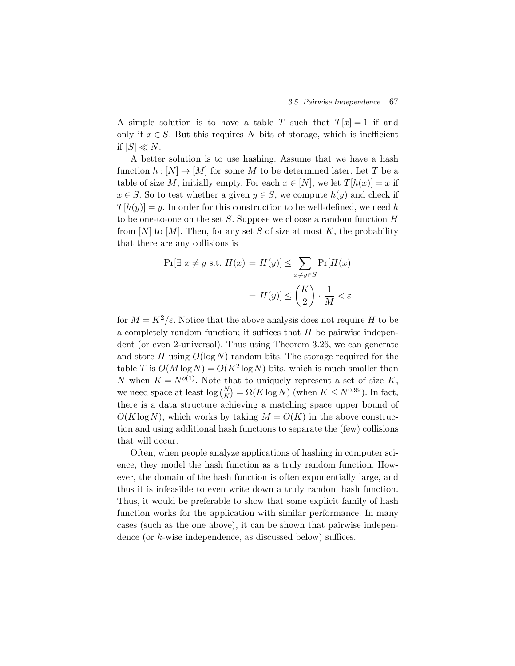A simple solution is to have a table T such that  $T[x] = 1$  if and only if  $x \in S$ . But this requires N bits of storage, which is inefficient if  $|S| \ll N$ .

A better solution is to use hashing. Assume that we have a hash function  $h : [N] \to [M]$  for some M to be determined later. Let T be a table of size M, initially empty. For each  $x \in [N]$ , we let  $T[h(x)] = x$  if  $x \in S$ . So to test whether a given  $y \in S$ , we compute  $h(y)$  and check if  $T[h(y)] = y$ . In order for this construction to be well-defined, we need h to be one-to-one on the set S. Suppose we choose a random function  $H$ from  $[N]$  to  $[M]$ . Then, for any set S of size at most K, the probability that there are any collisions is In order for this construction to be w<br>-one on the set S. Suppose we choose<br>[M]. Then, for any set S of size at more any collisions is<br>Pr[∃  $x \neq y$  s.t.  $H(x) = H(y)| \leq \sum$ at mo

$$
\Pr[\exists x \neq y \text{ s.t. } H(x) = H(y)] \le \sum_{x \neq y \in S} \Pr[H(x)]
$$

$$
= H(y)] \le \binom{K}{2} \cdot \frac{1}{M} < \varepsilon
$$

for  $M = K^2/\varepsilon$ . Notice that the above analysis does not require H to be a completely random function; it suffices that  $H$  be pairwise independent (or even 2-universal). Thus using Theorem 3.26, we can generate and store H using  $O(\log N)$  random bits. The storage required for the table T is  $O(M \log N) = O(K^2 \log N)$  bits, which is much smaller than N when  $K = N^{o(1)}$ . Note that to uniquely represent a set of size K, dent (or even 2-universal). Thus using Theorem 3.26, we can generate<br>and store H using  $O(\log N)$  random bits. The storage required for the<br>table T is  $O(M \log N) = O(K^2 \log N)$  bits, which is much smaller than<br>N when  $K = N^{o(1)}$ . Not there is a data structure achieving a matching space upper bound of  $O(K \log N)$ , which works by taking  $M = O(K)$  in the above construction and using additional hash functions to separate the (few) collisions that will occur.

Often, when people analyze applications of hashing in computer science, they model the hash function as a truly random function. However, the domain of the hash function is often exponentially large, and thus it is infeasible to even write down a truly random hash function. Thus, it would be preferable to show that some explicit family of hash function works for the application with similar performance. In many cases (such as the one above), it can be shown that pairwise independence (or k-wise independence, as discussed below) suffices.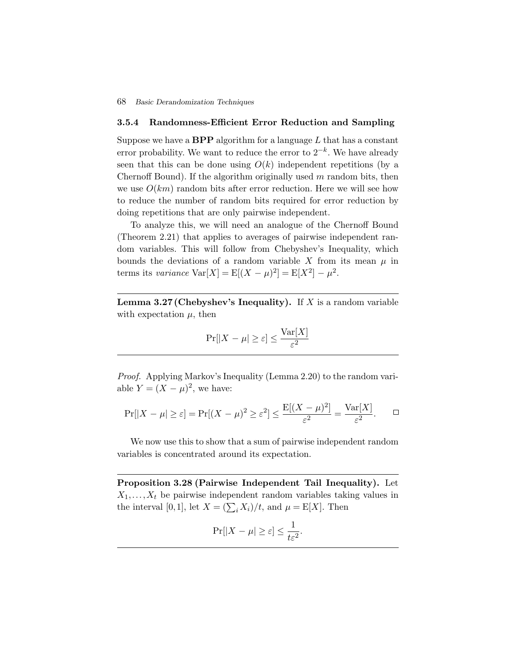#### **3.5.4 Randomness-Efficient Error Reduction and Sampling**

Suppose we have a **BPP** algorithm for a language  $L$  that has a constant error probability. We want to reduce the error to  $2^{-k}$ . We have already seen that this can be done using  $O(k)$  independent repetitions (by a Chernoff Bound). If the algorithm originally used  $m$  random bits, then we use  $O(km)$  random bits after error reduction. Here we will see how to reduce the number of random bits required for error reduction by doing repetitions that are only pairwise independent.

To analyze this, we will need an analogue of the Chernoff Bound (Theorem 2.21) that applies to averages of pairwise independent random variables. This will follow from Chebyshev's Inequality, which bounds the deviations of a random variable X from its mean  $\mu$  in terms its *variance*  $\text{Var}[X] = \text{E}[(X - \mu)^2] = \text{E}[X^2] - \mu^2$ .

**Lemma 3.27 (Chebyshev's Inequality).** If X is a random variable with expectation  $\mu$ , then

$$
\Pr[|X - \mu| \ge \varepsilon] \le \frac{\text{Var}[X]}{\varepsilon^2}
$$

*Proof.* Applying Markov's Inequality (Lemma 2.20) to the random variable  $Y = (X - \mu)^2$ , we have:

$$
\Pr[|X - \mu| \ge \varepsilon] = \Pr[(X - \mu)^2 \ge \varepsilon^2] \le \frac{\mathbb{E}[(X - \mu)^2]}{\varepsilon^2} = \frac{\text{Var}[X]}{\varepsilon^2}.
$$

We now use this to show that a sum of pairwise independent random variables is concentrated around its expectation.

**Proposition 3.28 (Pairwise Independent Tail Inequality).** Let  $X_1, \ldots, X_t$  be pairwise independent random variables taking values in variables is concentrated around its expectation.<br> **Proposition 3.28 (Pairwise Independent Tail Inequ**<br>  $X_1, ..., X_t$  be pairwise independent random variables taki<br>
the interval [0,1], let  $X = (\sum_i X_i)/t$ , and  $\mu = E[X]$ . Then

$$
\Pr[|X - \mu| \ge \varepsilon] \le \frac{1}{t\varepsilon^2}.
$$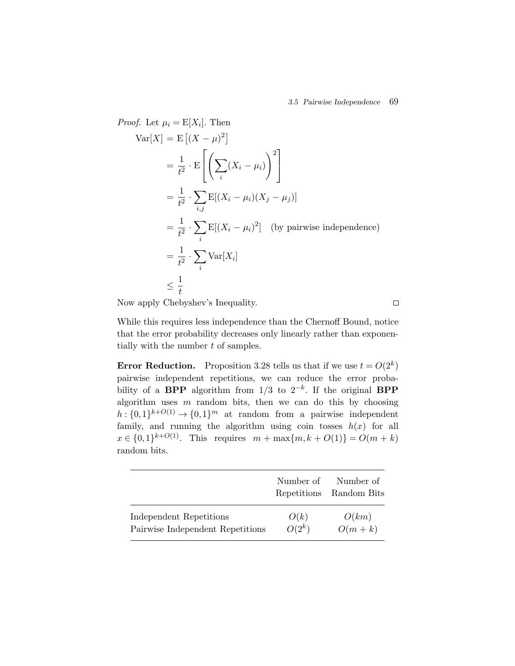*Proof.* Let  $\mu_i = E[X_i]$ . Then f. Let  $\mu_i = \mathbb{E}[X_i]$ . Th<br>Var $[X] = \mathbb{E} [(X - \mu)]$ er.<br>21  $=\frac{1}{t^2}\cdot \text{E}$ i  $(X_i - \mu_i)$ 2  $\mathcal{L} \left[ \left( \angle^{\Lambda_1} \left( \mathcal{L}_1 \right) \right) \right]$  $=\frac{1}{t^2}$ . i,j  $\sum E[(X_i - \mu_i)(X_j - \mu_j)]$  $=\frac{1}{t^2}$ . i  $E[(X_i - \mu_i)^2]$  (by pairwise independence)  $=\frac{1}{t^2} \cdot \sum$ i  $Var[X_i]$  $\leq \frac{1}{1}$ t

Now apply Chebyshev's Inequality.

While this requires less independence than the Chernoff Bound, notice that the error probability decreases only linearly rather than exponentially with the number  $t$  of samples.

**Error Reduction.** Proposition 3.28 tells us that if we use  $t = O(2^k)$ pairwise independent repetitions, we can reduce the error probability of a **BPP** algorithm from  $1/3$  to  $2^{-k}$ . If the original **BPP** algorithm uses  $m$  random bits, then we can do this by choosing  $h: \{0,1\}^{k+O(1)} \to \{0,1\}^m$  at random from a pairwise independent family, and running the algorithm using coin tosses  $h(x)$  for all  $x \in \{0,1\}^{k+O(1)}$ . This requires  $m + \max\{m, k + O(1)\} = O(m + k)$ random bits.

|                                  | Number of<br>Repetitions | Number of<br>Random Bits |
|----------------------------------|--------------------------|--------------------------|
| Independent Repetitions          | O(k)                     | O(km)                    |
| Pairwise Independent Repetitions | $O(2^k)$                 | $O(m+k)$                 |

 $\Box$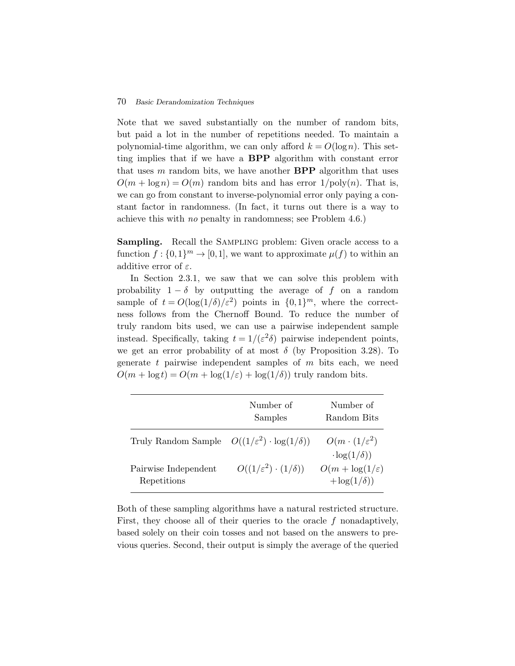Note that we saved substantially on the number of random bits, but paid a lot in the number of repetitions needed. To maintain a polynomial-time algorithm, we can only afford  $k = O(\log n)$ . This setting implies that if we have a **BPP** algorithm with constant error that uses m random bits, we have another **BPP** algorithm that uses  $O(m + \log n) = O(m)$  random bits and has error  $1/\text{poly}(n)$ . That is, we can go from constant to inverse-polynomial error only paying a constant factor in randomness. (In fact, it turns out there is a way to achieve this with *no* penalty in randomness; see Problem 4.6.)

**Sampling.** Recall the SAMPLING problem: Given oracle access to a function  $f: \{0,1\}^m \to [0,1]$ , we want to approximate  $\mu(f)$  to within an additive error of  $\varepsilon$ .

In Section 2.3.1, we saw that we can solve this problem with probability  $1 - \delta$  by outputting the average of f on a random sample of  $t = O(\log(1/\delta)/\varepsilon^2)$  points in  $\{0,1\}^m$ , where the correctness follows from the Chernoff Bound. To reduce the number of truly random bits used, we can use a pairwise independent sample instead. Specifically, taking  $t = 1/(\varepsilon^2 \delta)$  pairwise independent points, we get an error probability of at most  $\delta$  (by Proposition 3.28). To generate t pairwise independent samples of  $m$  bits each, we need  $O(m + \log t) = O(m + \log(1/\varepsilon) + \log(1/\delta))$  truly random bits.

|                                                                 | Number of<br>Samples                  | Number of<br>Random Bits                             |
|-----------------------------------------------------------------|---------------------------------------|------------------------------------------------------|
| Truly Random Sample $O((1/\varepsilon^2) \cdot \log(1/\delta))$ |                                       | $O(m \cdot (1/\varepsilon^2))$<br>$-\log(1/\delta))$ |
| Pairwise Independent<br>Repetitions                             | $O((1/\varepsilon^2)\cdot(1/\delta))$ | $O(m + \log(1/\varepsilon))$<br>$+\log(1/\delta))$   |

Both of these sampling algorithms have a natural restricted structure. First, they choose all of their queries to the oracle  $f$  nonadaptively, based solely on their coin tosses and not based on the answers to previous queries. Second, their output is simply the average of the queried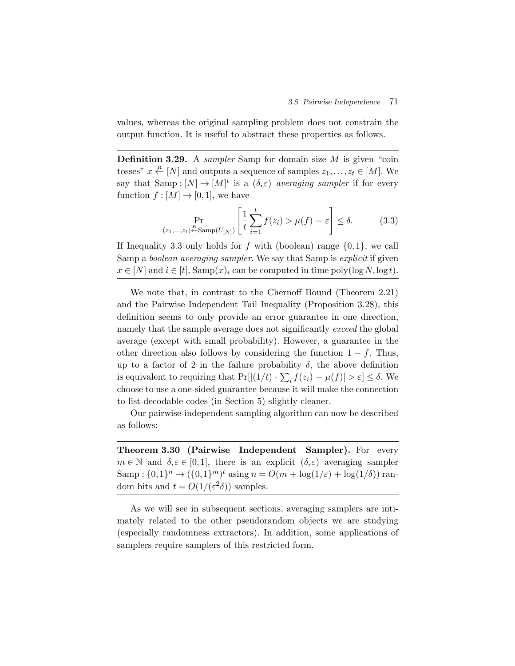values, whereas the original sampling problem does not constrain the output function. It is useful to abstract these properties as follows.

**Definition 3.29.** A *sampler* Samp for domain size M is given "coin tosses"  $x \stackrel{\text{R}}{\leftarrow} [N]$  and outputs a sequence of samples  $z_1, \ldots, z_t \in [M]$ . We say that  $\text{Samp}: [N] \to [M]^t$  is a  $(\delta, \varepsilon)$  *averaging sampler* if for every function  $f : [M] \to [0,1]$ , we have  $\mathbf{m}$ 

$$
\Pr_{(z_1,\ldots,z_t)\stackrel{\text{R}}{\leftarrow}\text{Samp}(U_{[N]})}\left[\frac{1}{t}\sum_{i=1}^t f(z_i) > \mu(f) + \varepsilon\right] \le \delta. \tag{3.3}
$$

If Inequality 3.3 only holds for f with (boolean) range  $\{0,1\}$ , we call Samp a *boolean averaging sampler*. We say that Samp is *explicit* if given  $x \in [N]$  and  $i \in [t]$ , Samp $(x)_i$  can be computed in time poly $(\log N, \log t)$ .

We note that, in contrast to the Chernoff Bound (Theorem 2.21) and the Pairwise Independent Tail Inequality (Proposition 3.28), this definition seems to only provide an error guarantee in one direction, namely that the sample average does not significantly *exceed* the global average (except with small probability). However, a guarantee in the other direction also follows by considering the function  $1 - f$ . Thus, up to a factor of 2 in the failure probability  $\delta$ , the above definition is equivalent to requiring that  $Pr[|(1/t) \cdot \sum_i f(z_i) - \mu(f)| > \varepsilon] \leq \delta$ . We choose to use a one-sided guarantee because it will make the connection to list-decodable codes (in Section 5) slightly cleaner.

Our pairwise-independent sampling algorithm can now be described as follows:

**Theorem 3.30 (Pairwise Independent Sampler).** For every  $m \in \mathbb{N}$  and  $\delta, \varepsilon \in [0,1]$ , there is an explicit  $(\delta, \varepsilon)$  averaging sampler Samp :  $\{0,1\}^n \to (\{0,1\}^m)^t$  using  $n = O(m + \log(1/\varepsilon) + \log(1/\delta))$  random bits and  $t = O(1/(\varepsilon^2 \delta))$  samples.

As we will see in subsequent sections, averaging samplers are intimately related to the other pseudorandom objects we are studying (especially randomness extractors). In addition, some applications of samplers require samplers of this restricted form.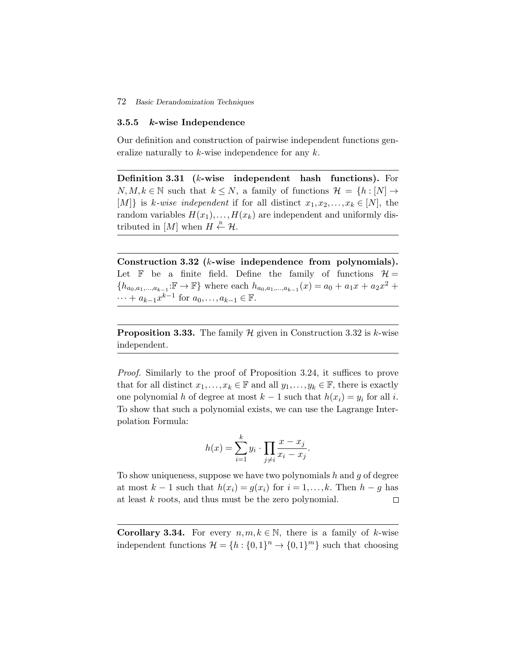#### **3.5.5** *k***-wise Independence**

Our definition and construction of pairwise independent functions generalize naturally to  $k$ -wise independence for any  $k$ .

**Definition 3.31 (**k**-wise independent hash functions).** For  $N, M, k \in \mathbb{N}$  such that  $k \leq N$ , a family of functions  $\mathcal{H} = \{h : [N] \to$ [M]} is k-wise independent if for all distinct  $x_1, x_2,...,x_k \in [N]$ , the random variables  $H(x_1),...,H(x_k)$  are independent and uniformly distributed in  $[M]$  when  $H \stackrel{\text{R}}{\leftarrow} \mathcal{H}$ .

**Construction 3.32 (**k**-wise independence from polynomials).** Let  $\mathbb F$  be a finite field. Define the family of functions  $\mathcal H$  =  ${h_{a_0,a_1,...,a_{k-1}}:\mathbb{F} \to \mathbb{F}}$  where each  $h_{a_0,a_1,...,a_{k-1}}(x) = a_0 + a_1x + a_2x^2 +$  $\cdots + a_{k-1}x^{k-1}$  for  $a_0, \ldots, a_{k-1} \in \mathbb{F}$ .

**Proposition 3.33.** The family  $H$  given in Construction 3.32 is k-wise independent.

*Proof.* Similarly to the proof of Proposition 3.24, it suffices to prove that for all distinct  $x_1, \ldots, x_k \in \mathbb{F}$  and all  $y_1, \ldots, y_k \in \mathbb{F}$ , there is exactly one polynomial h of degree at most  $k - 1$  such that  $h(x_i) = y_i$  for all i.<br>To show that such a polynomial exists, we can use the Lagrange Inter-<br>polation Formula:<br> $h(x) = \sum^k y_i \cdot \prod \frac{x - x_j}{n}$ . To show that such a polynomial exists, we can use the Lagrange Interpolation Formula:

$$
h(x) = \sum_{i=1}^{k} y_i \cdot \prod_{j \neq i} \frac{x - x_j}{x_i - x_j}.
$$

To show uniqueness, suppose we have two polynomials  $h$  and  $g$  of degree at most  $k-1$  such that  $h(x_i) = g(x_i)$  for  $i = 1, \ldots, k$ . Then  $h - g$  has at least k roots, and thus must be the zero polynomial.  $\Box$ 

**Corollary 3.34.** For every  $n, m, k \in \mathbb{N}$ , there is a family of k-wise independent functions  $\mathcal{H} = \{h : \{0,1\}^n \to \{0,1\}^m\}$  such that choosing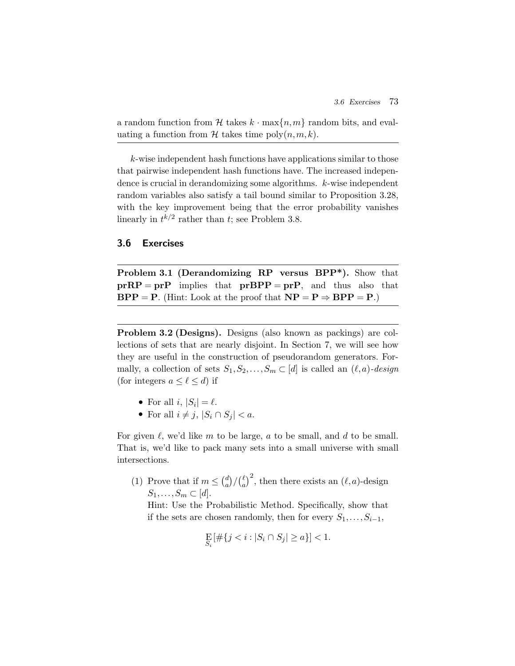a random function from H takes  $k \cdot \max\{n,m\}$  random bits, and evaluating a function from  $\mathcal H$  takes time poly $(n,m,k)$ .

k-wise independent hash functions have applications similar to those that pairwise independent hash functions have. The increased independence is crucial in derandomizing some algorithms. k-wise independent random variables also satisfy a tail bound similar to Proposition 3.28, with the key improvement being that the error probability vanishes linearly in  $t^{k/2}$  rather than t; see Problem 3.8.

#### **3.6 Exercises**

**Problem 3.1 (Derandomizing RP versus BPP\*).** Show that  $prRP = prP$  implies that  $prBPP = prP$ , and thus also that **BPP** = **P**. (Hint: Look at the proof that  $NP = P \Rightarrow BPP = P$ .)

**Problem 3.2 (Designs).** Designs (also known as packings) are collections of sets that are nearly disjoint. In Section 7, we will see how they are useful in the construction of pseudorandom generators. Formally, a collection of sets  $S_1, S_2, \ldots, S_m \subset [d]$  is called an  $(\ell, a)$ *-design* (for integers  $a \leq \ell \leq d$ ) if

- For all  $i, |S_i| = \ell$ .
- For all  $i \neq j$ ,  $|S_i \cap S_j| < a$ .

For given  $\ell$ , we'd like m to be large, a to be small, and d to be small. That is, we'd like to pack many sets into a small universe with small intersections. given  $\ell$ , we'd like m to be latt is, we'd like to pack many<br>rsections.<br>(1) Prove that if  $m \leq {d \choose a}/\binom{\ell}{a}$ 

a <sup>2</sup>, then there exists an  $(\ell, a)$ -design  $S_1,\ldots,S_m\subset [d].$ 

Hint: Use the Probabilistic Method. Specifically, show that if the sets are chosen randomly, then for every  $S_1, \ldots, S_{i-1}$ ,

$$
\mathop{\bf E}_{S_i} [\#\{j < i : |S_i \cap S_j| \ge a\}] < 1.
$$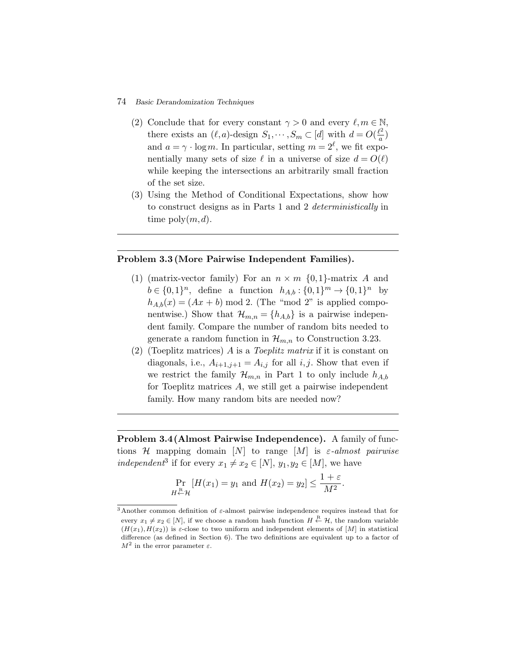- (2) Conclude that for every constant  $\gamma > 0$  and every  $\ell, m \in \mathbb{N}$ , there exists an  $(\ell, a)$ -design  $S_1, \dots, S_m \subset [d]$  with  $d = O(\frac{\ell^2}{a})$ and  $a = \gamma \cdot \log m$ . In particular, setting  $m = 2^{\ell}$ , we fit exponentially many sets of size  $\ell$  in a universe of size  $d = O(\ell)$ while keeping the intersections an arbitrarily small fraction of the set size.
- (3) Using the Method of Conditional Expectations, show how to construct designs as in Parts 1 and 2 *deterministically* in time  $\text{poly}(m, d)$ .

#### **Problem 3.3 (More Pairwise Independent Families).**

- (1) (matrix-vector family) For an  $n \times m$  {0,1}-matrix A and  $b \in \{0,1\}^n$ , define a function  $h_{A,b}: \{0,1\}^m \to \{0,1\}^n$  by  $h_{A,b}(x)=(Ax + b) \mod 2$ . (The "mod 2" is applied componentwise.) Show that  $\mathcal{H}_{m,n} = \{h_{A,b}\}\$ is a pairwise independent family. Compare the number of random bits needed to generate a random function in  $\mathcal{H}_{m,n}$  to Construction 3.23.
- (2) (Toeplitz matrices) A is a *Toeplitz matrix* if it is constant on diagonals, i.e.,  $A_{i+1,j+1} = A_{i,j}$  for all  $i, j$ . Show that even if we restrict the family  $\mathcal{H}_{m,n}$  in Part 1 to only include  $h_{A,b}$ for Toeplitz matrices A, we still get a pairwise independent family. How many random bits are needed now?

**Problem 3.4(Almost Pairwise Independence).** A family of functions H mapping domain [N] to range [M] is ε*-almost pairwise independent*<sup>3</sup> if for every  $x_1 \neq x_2 \in [N], y_1, y_2 \in [M]$ , we have

$$
\Pr_{H \stackrel{\text{R}}{\leftarrow} \mathcal{H}} [H(x_1) = y_1 \text{ and } H(x_2) = y_2] \le \frac{1 + \varepsilon}{M^2}.
$$

 $3$ Another common definition of ε-almost pairwise independence requires instead that for every  $x_1 \neq x_2 \in [N]$ , if we choose a random hash function  $H \stackrel{\text{R}}{\leftarrow} \mathcal{H}$ , the random variable  $(H(x_1),H(x_2))$  is  $\varepsilon$ -close to two uniform and independent elements of [M] in statistical difference (as defined in Section 6). The two definitions are equivalent up to a factor of  $M^2$  in the error parameter  $\varepsilon$ .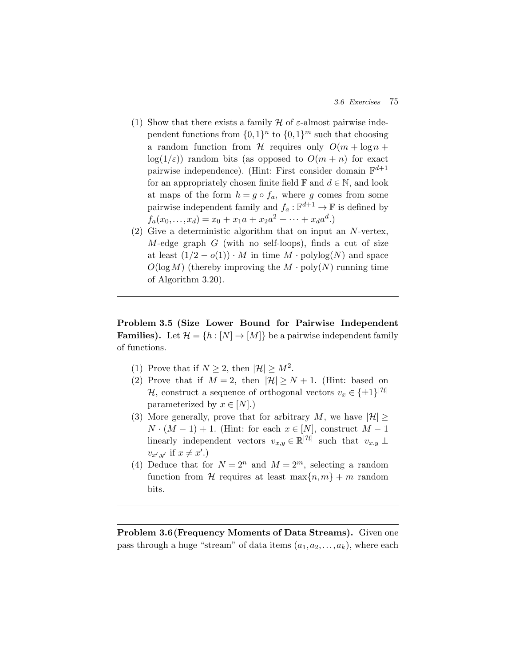- (1) Show that there exists a family  $H$  of  $\varepsilon$ -almost pairwise independent functions from  $\{0,1\}^n$  to  $\{0,1\}^m$  such that choosing a random function from H requires only  $O(m + \log n +$  $log(1/\varepsilon)$  random bits (as opposed to  $O(m+n)$  for exact pairwise independence). (Hint: First consider domain  $\mathbb{F}^{d+1}$ for an appropriately chosen finite field  $\mathbb F$  and  $d \in \mathbb N$ , and look at maps of the form  $h = g \circ f_a$ , where g comes from some pairwise independent family and  $f_a: \mathbb{F}^{d+1} \to \mathbb{F}$  is defined by  $f_a(x_0,...,x_d) = x_0 + x_1a + x_2a^2 + \cdots + x_d a^d.$
- (2) Give a deterministic algorithm that on input an N-vertex,  $M$ -edge graph  $G$  (with no self-loops), finds a cut of size at least  $(1/2 - o(1)) \cdot M$  in time  $M \cdot \text{polylog}(N)$  and space  $O(\log M)$  (thereby improving the  $M \cdot \text{poly}(N)$  running time of Algorithm 3.20).

**Problem 3.5 (Size Lower Bound for Pairwise Independent Families).** Let  $\mathcal{H} = \{h : [N] \to [M]\}$  be a pairwise independent family of functions.

- (1) Prove that if  $N \geq 2$ , then  $|\mathcal{H}| \geq M^2$ .
- (2) Prove that if  $M = 2$ , then  $|\mathcal{H}| \geq N + 1$ . (Hint: based on H, construct a sequence of orthogonal vectors  $v_x \in \{\pm 1\}^{|\mathcal{H}|}$ parameterized by  $x \in [N]$ .)
- (3) More generally, prove that for arbitrary M, we have  $|\mathcal{H}| \ge$  $N \cdot (M-1) + 1$ . (Hint: for each  $x \in [N]$ , construct  $M-1$ linearly independent vectors  $v_{x,y} \in \mathbb{R}^{|\mathcal{H}|}$  such that  $v_{x,y} \perp$  $v_{x',y'}$  if  $x \neq x'.$
- (4) Deduce that for  $N = 2^n$  and  $M = 2^m$ , selecting a random function from H requires at least  $\max\{n,m\} + m$  random bits.

**Problem 3.6(Frequency Moments of Data Streams).** Given one pass through a huge "stream" of data items  $(a_1, a_2, \ldots, a_k)$ , where each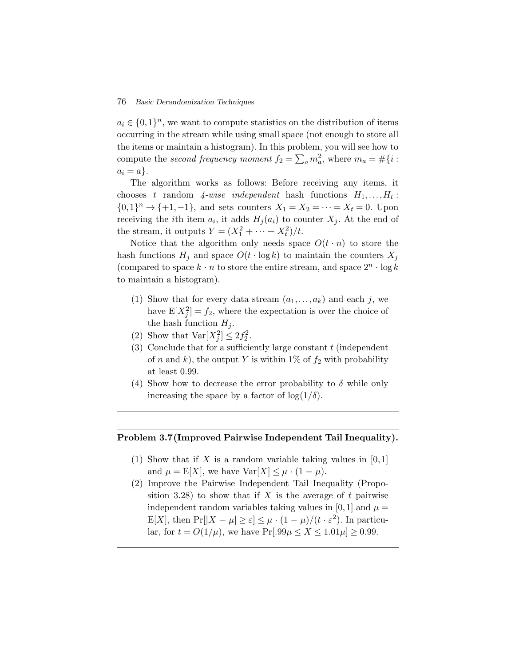$a_i \in \{0,1\}^n$ , we want to compute statistics on the distribution of items occurring in the stream while using small space (not enough to store all the items or maintain a histogram). In this problem, you will see how to compute the *second frequency moment*  $f_2 = \sum_a m_a^2$ , where  $m_a = \frac{4}{3}$  i.e.  $a_i \in \{0,1\}^n$ , we want to compute statistics on the distribution of items occurring in the stream while using small space (not enough to store  $a_i = a$ .

The algorithm works as follows: Before receiving any items, it chooses t random  $\lambda$ -wise independent hash functions  $H_1, \ldots, H_t$ :  $\{0,1\}^n \to \{+1,-1\}$ , and sets counters  $X_1 = X_2 = \cdots = X_t = 0$ . Upon receiving the *i*th item  $a_i$ , it adds  $H_j(a_i)$  to counter  $X_j$ . At the end of the stream, it outputs  $Y = (X_1^2 + \cdots + X_t^2)/t$ .

Notice that the algorithm only needs space  $O(t \cdot n)$  to store the hash functions  $H_j$  and space  $O(t \cdot \log k)$  to maintain the counters  $X_j$ (compared to space  $k \cdot n$  to store the entire stream, and space  $2^n \cdot \log k$ to maintain a histogram).

- (1) Show that for every data stream  $(a_1,...,a_k)$  and each j, we have  $E[X_j^2] = f_2$ , where the expectation is over the choice of the hash function  $H_i$ .
- (2) Show that  $\text{Var}[X_j^2] \leq 2f_2^2$ .
- (3) Conclude that for a sufficiently large constant  $t$  (independent of n and k), the output Y is within 1% of  $f_2$  with probability at least 0.99.
- (4) Show how to decrease the error probability to  $\delta$  while only increasing the space by a factor of  $log(1/\delta)$ .

#### **Problem 3.7(Improved Pairwise Independent Tail Inequality).**

- (1) Show that if X is a random variable taking values in  $[0,1]$ and  $\mu = \mathbb{E}[X]$ , we have  $\text{Var}[X] \leq \mu \cdot (1 - \mu)$ .
- (2) Improve the Pairwise Independent Tail Inequality (Proposition 3.28) to show that if X is the average of t pairwise independent random variables taking values in [0,1] and  $\mu =$ E[X], then  $Pr[|X - \mu| \ge \varepsilon] \le \mu \cdot (1 - \mu)/(t \cdot \varepsilon^2)$ . In particular, for  $t = O(1/\mu)$ , we have  $Pr[.99\mu \le X \le 1.01\mu] \ge 0.99$ .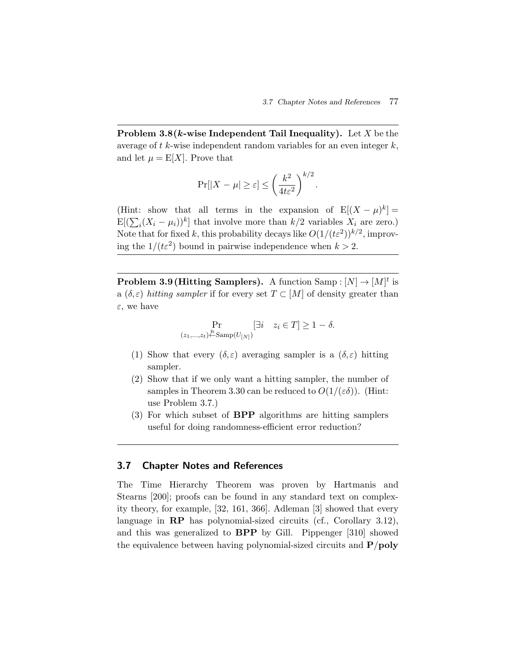**Problem 3.8(***k***-wise Independent Tail Inequality).** Let X be the average of  $t$  k-wise independent random variables for an even integer  $k$ , and let  $\mu = \mathbb{E}[X]$ . Prove that 

$$
\Pr[|X - \mu| \ge \varepsilon] \le \left(\frac{k^2}{4t\varepsilon^2}\right)^{k/2}.
$$

(Hint: show that all terms in the expansion of  $E[(X - \mu)^k] =$  $(Hint \nE[(\sum$  $E[(\sum_{i}(X_i - \mu_i))^k]$  that involve more than  $k/2$  variables  $X_i$  are zero.) Note that for fixed k, this probability decays like  $O(1/(t\epsilon^2))^{k/2}$ , improving the  $1/(t\epsilon^2)$  bound in pairwise independence when  $k > 2$ .

**Problem 3.9 (Hitting Samplers).** A function  $\text{Samp}: [N] \to [M]^t$  is a  $(\delta, \varepsilon)$  *hitting sampler* if for every set  $T \subset [M]$  of density greater than  $\varepsilon$ , we have

$$
\Pr_{(z_1,\ldots,z_t)\stackrel{\text{R}}{\leftarrow}\text{Samp}(U_{[N]})} [\exists i \quad z_i \in T] \ge 1 - \delta.
$$

- (1) Show that every  $(\delta, \varepsilon)$  averaging sampler is a  $(\delta, \varepsilon)$  hitting sampler.
- (2) Show that if we only want a hitting sampler, the number of samples in Theorem 3.30 can be reduced to  $O(1/(\varepsilon\delta))$ . (Hint: use Problem 3.7.)
- (3) For which subset of **BPP** algorithms are hitting samplers useful for doing randomness-efficient error reduction?

#### **3.7 Chapter Notes and References**

The Time Hierarchy Theorem was proven by Hartmanis and Stearns [200]; proofs can be found in any standard text on complexity theory, for example, [32, 161, 366]. Adleman [3] showed that every language in **RP** has polynomial-sized circuits (cf., Corollary 3.12), and this was generalized to **BPP** by Gill. Pippenger [310] showed the equivalence between having polynomial-sized circuits and **P**/**poly**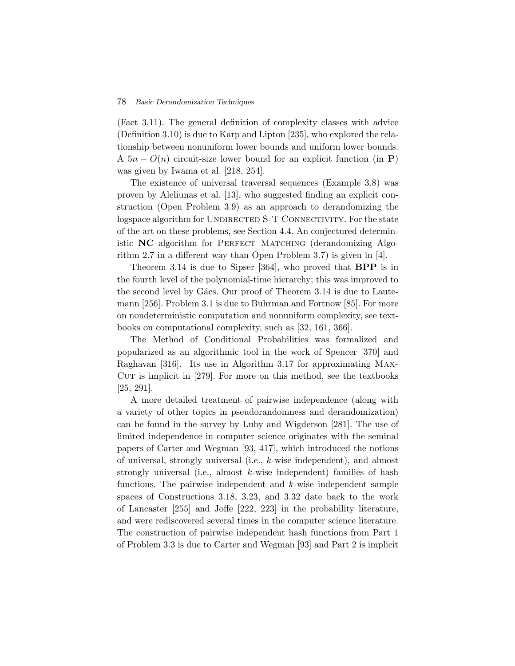(Fact 3.11). The general definition of complexity classes with advice (Definition 3.10) is due to Karp and Lipton [235], who explored the relationship between nonuniform lower bounds and uniform lower bounds. A  $5n - O(n)$  circuit-size lower bound for an explicit function (in **P**) was given by Iwama et al. [218, 254].

The existence of universal traversal sequences (Example 3.8) was proven by Aleliunas et al. [13], who suggested finding an explicit construction (Open Problem 3.9) as an approach to derandomizing the logspace algorithm for UNDIRECTED S-T CONNECTIVITY. For the state of the art on these problems, see Section 4.4. An conjectured deterministic **NC** algorithm for PERFECT MATCHING (derandomizing Algorithm 2.7 in a different way than Open Problem 3.7) is given in [4].

Theorem 3.14 is due to Sipser [364], who proved that **BPP** is in the fourth level of the polynomial-time hierarchy; this was improved to the second level by Gács. Our proof of Theorem 3.14 is due to Lautemann [256]. Problem 3.1 is due to Buhrman and Fortnow [85]. For more on nondeterministic computation and nonuniform complexity, see textbooks on computational complexity, such as [32, 161, 366].

The Method of Conditional Probabilities was formalized and popularized as an algorithmic tool in the work of Spencer [370] and Raghavan [316]. Its use in Algorithm 3.17 for approximating Max-CUT is implicit in  $[279]$ . For more on this method, see the textbooks [25, 291].

A more detailed treatment of pairwise independence (along with a variety of other topics in pseudorandomness and derandomization) can be found in the survey by Luby and Wigderson [281]. The use of limited independence in computer science originates with the seminal papers of Carter and Wegman [93, 417], which introduced the notions of universal, strongly universal (i.e., k-wise independent), and almost strongly universal (i.e., almost  $k$ -wise independent) families of hash functions. The pairwise independent and  $k$ -wise independent sample spaces of Constructions 3.18, 3.23, and 3.32 date back to the work of Lancaster [255] and Joffe [222, 223] in the probability literature, and were rediscovered several times in the computer science literature. The construction of pairwise independent hash functions from Part 1 of Problem 3.3 is due to Carter and Wegman [93] and Part 2 is implicit